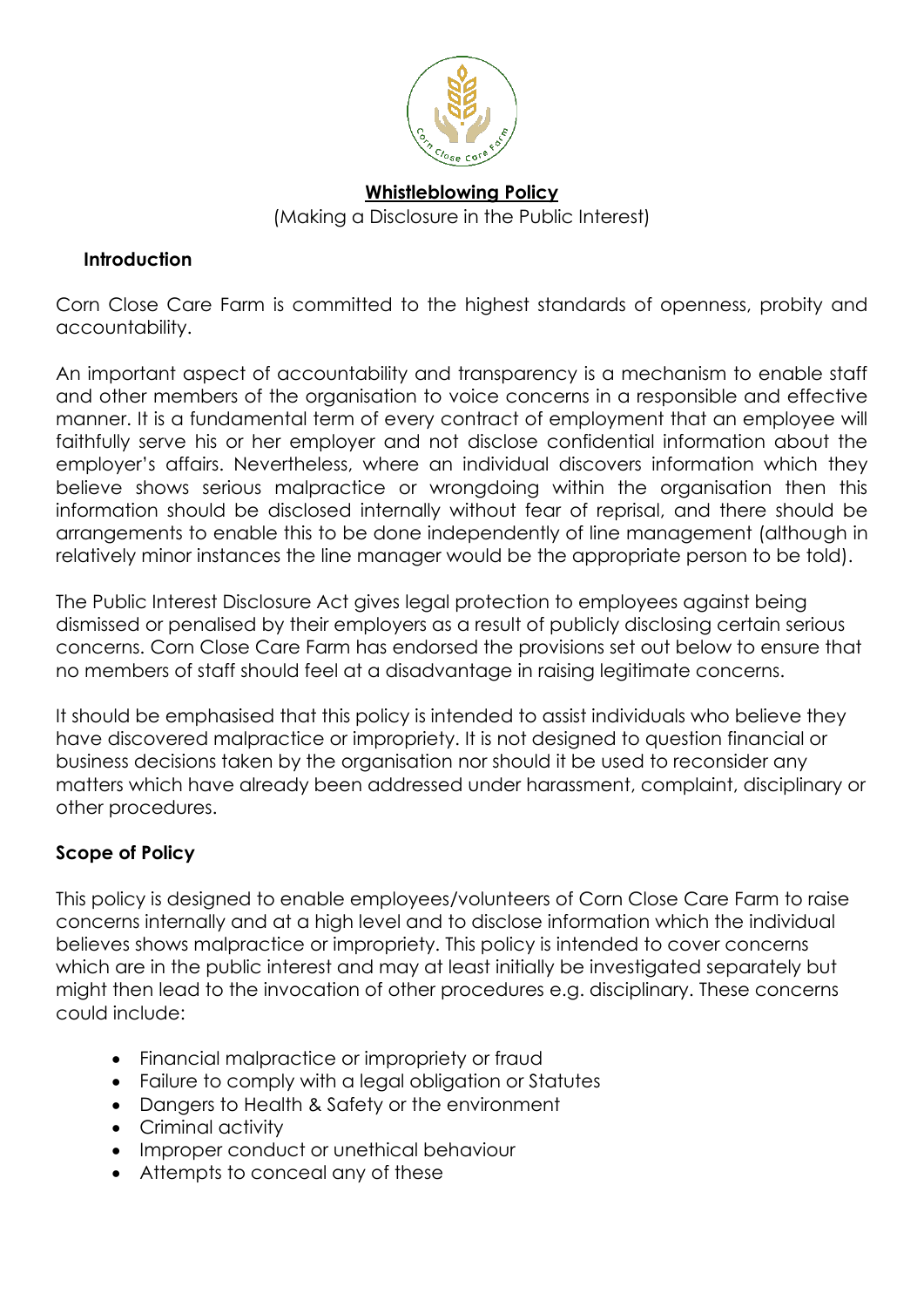

# **Whistleblowing Policy**  (Making a Disclosure in the Public Interest)

#### **Introduction**

Corn Close Care Farm is committed to the highest standards of openness, probity and accountability.

An important aspect of accountability and transparency is a mechanism to enable staff and other members of the organisation to voice concerns in a responsible and effective manner. It is a fundamental term of every contract of employment that an employee will faithfully serve his or her employer and not disclose confidential information about the employer's affairs. Nevertheless, where an individual discovers information which they believe shows serious malpractice or wrongdoing within the organisation then this information should be disclosed internally without fear of reprisal, and there should be arrangements to enable this to be done independently of line management (although in relatively minor instances the line manager would be the appropriate person to be told).

The Public Interest Disclosure Act gives legal protection to employees against being dismissed or penalised by their employers as a result of publicly disclosing certain serious concerns. Corn Close Care Farm has endorsed the provisions set out below to ensure that no members of staff should feel at a disadvantage in raising legitimate concerns.

It should be emphasised that this policy is intended to assist individuals who believe they have discovered malpractice or impropriety. It is not designed to question financial or business decisions taken by the organisation nor should it be used to reconsider any matters which have already been addressed under harassment, complaint, disciplinary or other procedures.

## **Scope of Policy**

This policy is designed to enable employees/volunteers of Corn Close Care Farm to raise concerns internally and at a high level and to disclose information which the individual believes shows malpractice or impropriety. This policy is intended to cover concerns which are in the public interest and may at least initially be investigated separately but might then lead to the invocation of other procedures e.g. disciplinary. These concerns could include:

- Financial malpractice or impropriety or fraud
- Failure to comply with a legal obligation or Statutes
- Dangers to Health & Safety or the environment
- Criminal activity
- Improper conduct or unethical behaviour
- Attempts to conceal any of these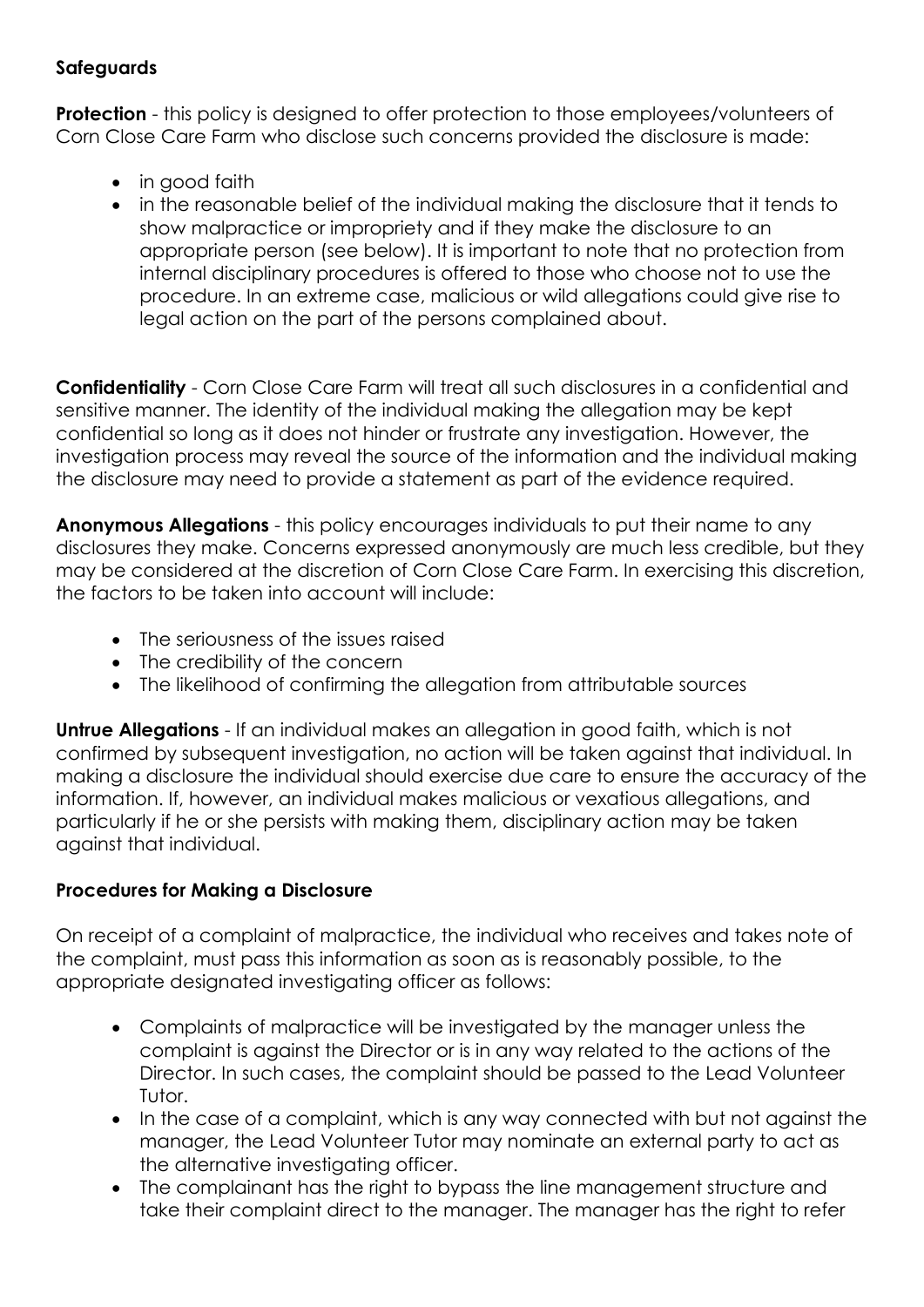### **Safeguards**

**Protection** - this policy is designed to offer protection to those employees/volunteers of Corn Close Care Farm who disclose such concerns provided the disclosure is made:

- in good faith
- in the reasonable belief of the individual making the disclosure that it tends to show malpractice or impropriety and if they make the disclosure to an appropriate person (see below). It is important to note that no protection from internal disciplinary procedures is offered to those who choose not to use the procedure. In an extreme case, malicious or wild allegations could give rise to legal action on the part of the persons complained about.

**Confidentiality** - Corn Close Care Farm will treat all such disclosures in a confidential and sensitive manner. The identity of the individual making the allegation may be kept confidential so long as it does not hinder or frustrate any investigation. However, the investigation process may reveal the source of the information and the individual making the disclosure may need to provide a statement as part of the evidence required.

**Anonymous Allegations** - this policy encourages individuals to put their name to any disclosures they make. Concerns expressed anonymously are much less credible, but they may be considered at the discretion of Corn Close Care Farm. In exercising this discretion, the factors to be taken into account will include:

- The seriousness of the issues raised
- The credibility of the concern
- The likelihood of confirming the allegation from attributable sources

**Untrue Allegations** - If an individual makes an allegation in good faith, which is not confirmed by subsequent investigation, no action will be taken against that individual. In making a disclosure the individual should exercise due care to ensure the accuracy of the information. If, however, an individual makes malicious or vexatious allegations, and particularly if he or she persists with making them, disciplinary action may be taken against that individual.

### **Procedures for Making a Disclosure**

On receipt of a complaint of malpractice, the individual who receives and takes note of the complaint, must pass this information as soon as is reasonably possible, to the appropriate designated investigating officer as follows:

- Complaints of malpractice will be investigated by the manager unless the complaint is against the Director or is in any way related to the actions of the Director. In such cases, the complaint should be passed to the Lead Volunteer Tutor.
- In the case of a complaint, which is any way connected with but not against the manager, the Lead Volunteer Tutor may nominate an external party to act as the alternative investigating officer.
- The complainant has the right to bypass the line management structure and take their complaint direct to the manager. The manager has the right to refer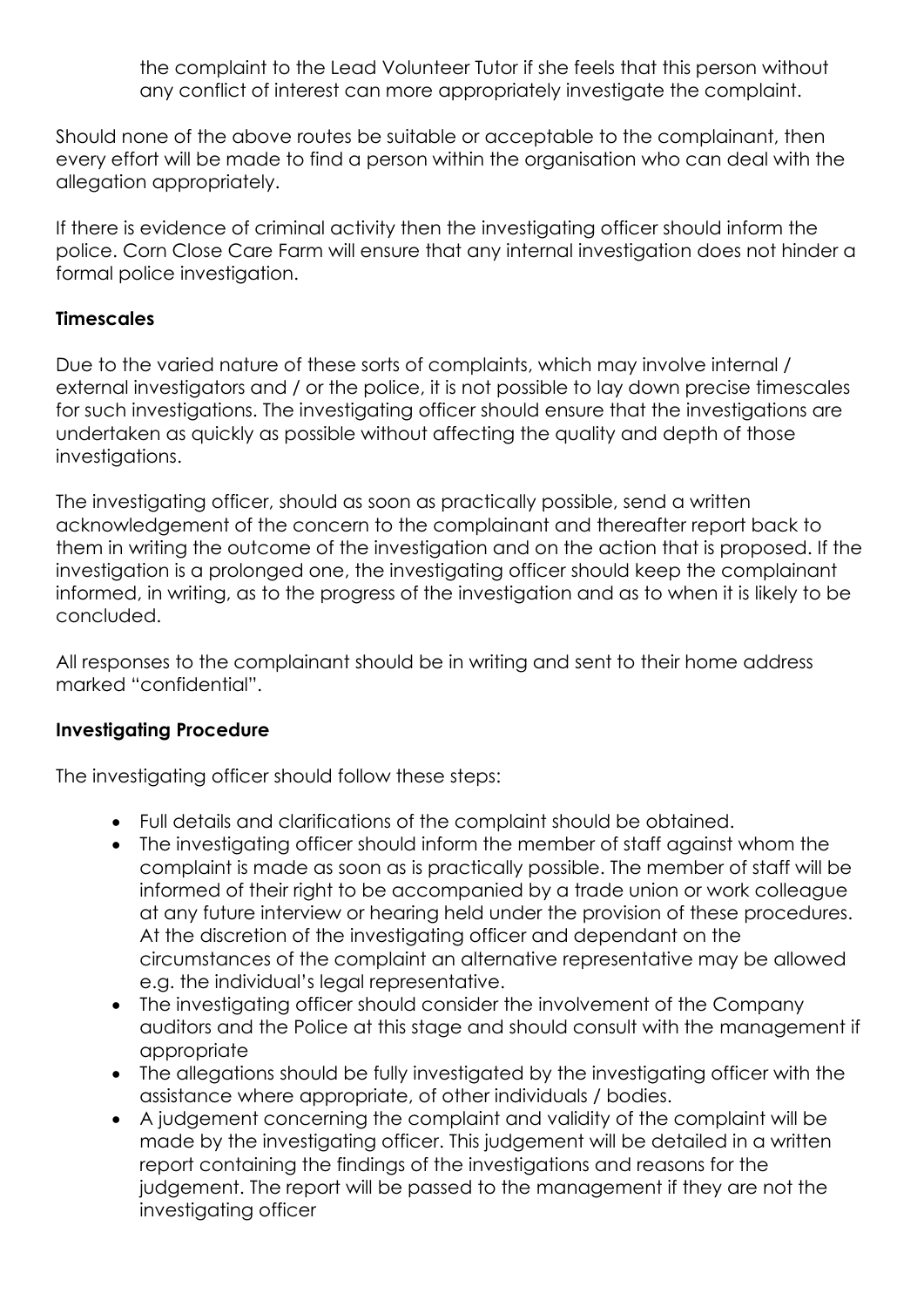the complaint to the Lead Volunteer Tutor if she feels that this person without any conflict of interest can more appropriately investigate the complaint.

Should none of the above routes be suitable or acceptable to the complainant, then every effort will be made to find a person within the organisation who can deal with the allegation appropriately.

If there is evidence of criminal activity then the investigating officer should inform the police. Corn Close Care Farm will ensure that any internal investigation does not hinder a formal police investigation.

#### **Timescales**

Due to the varied nature of these sorts of complaints, which may involve internal / external investigators and / or the police, it is not possible to lay down precise timescales for such investigations. The investigating officer should ensure that the investigations are undertaken as quickly as possible without affecting the quality and depth of those investigations.

The investigating officer, should as soon as practically possible, send a written acknowledgement of the concern to the complainant and thereafter report back to them in writing the outcome of the investigation and on the action that is proposed. If the investigation is a prolonged one, the investigating officer should keep the complainant informed, in writing, as to the progress of the investigation and as to when it is likely to be concluded.

All responses to the complainant should be in writing and sent to their home address marked "confidential".

#### **Investigating Procedure**

The investigating officer should follow these steps:

- Full details and clarifications of the complaint should be obtained.
- The investigating officer should inform the member of staff against whom the complaint is made as soon as is practically possible. The member of staff will be informed of their right to be accompanied by a trade union or work colleague at any future interview or hearing held under the provision of these procedures. At the discretion of the investigating officer and dependant on the circumstances of the complaint an alternative representative may be allowed e.g. the individual's legal representative.
- The investigating officer should consider the involvement of the Company auditors and the Police at this stage and should consult with the management if appropriate
- The allegations should be fully investigated by the investigating officer with the assistance where appropriate, of other individuals / bodies.
- A judgement concerning the complaint and validity of the complaint will be made by the investigating officer. This judgement will be detailed in a written report containing the findings of the investigations and reasons for the judgement. The report will be passed to the management if they are not the investigating officer